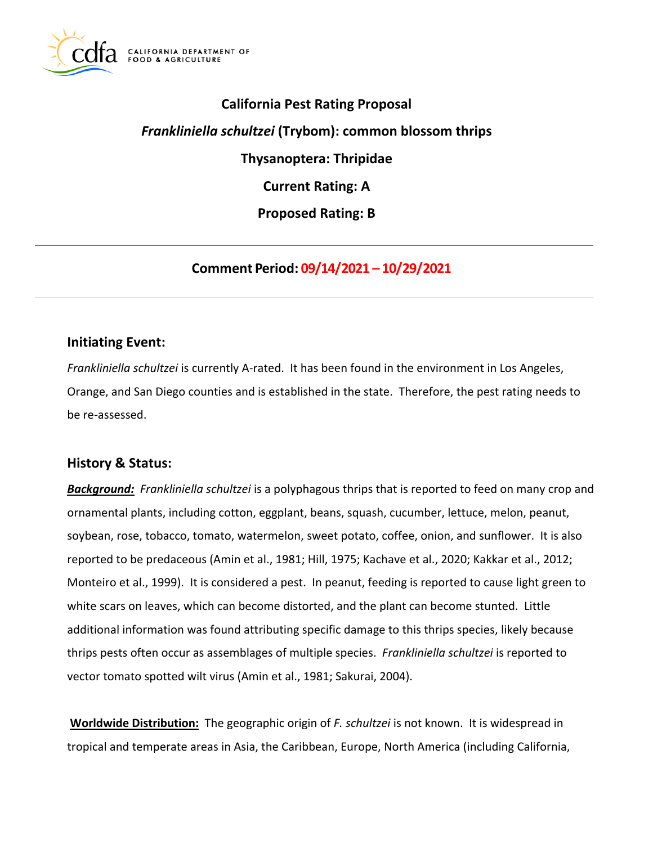

## **California Pest Rating Proposal**

## *Frankliniella schultzei* **(Trybom): common blossom thrips**

**Thysanoptera: Thripidae** 

**Current Rating: A** 

**Proposed Rating: B** 

**Comment Period: 09/14/2021 – 10/29/2021**

#### **Initiating Event:**

*Frankliniella schultzei* is currently A-rated. It has been found in the environment in Los Angeles, Orange, and San Diego counties and is established in the state. Therefore, the pest rating needs to be re-assessed.

#### **History & Status:**

*Background: Frankliniella schultzei* is a polyphagous thrips that is reported to feed on many crop and ornamental plants, including cotton, eggplant, beans, squash, cucumber, lettuce, melon, peanut, soybean, rose, tobacco, tomato, watermelon, sweet potato, coffee, onion, and sunflower. It is also reported to be predaceous (Amin et al., 1981; Hill, 1975; Kachave et al., 2020; Kakkar et al., 2012; Monteiro et al., 1999). It is considered a pest. In peanut, feeding is reported to cause light green to white scars on leaves, which can become distorted, and the plant can become stunted. Little additional information was found attributing specific damage to this thrips species, likely because thrips pests often occur as assemblages of multiple species. *Frankliniella schultzei* is reported to vector tomato spotted wilt virus (Amin et al., 1981; Sakurai, 2004).

**Worldwide Distribution:** The geographic origin of *F. schultzei* is not known. It is widespread in tropical and temperate areas in Asia, the Caribbean, Europe, North America (including California,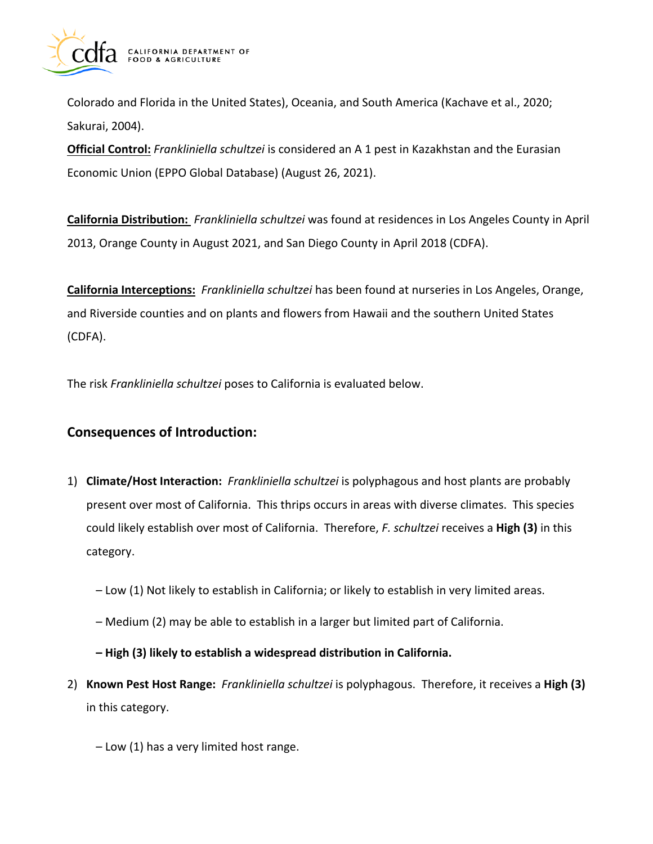

Colorado and Florida in the United States), Oceania, and South America (Kachave et al., 2020; Sakurai, 2004).

**Official Control:** *Frankliniella schultzei* is considered an A 1 pest in Kazakhstan and the Eurasian Economic Union (EPPO Global Database) (August 26, 2021).

**California Distribution:** *Frankliniella schultzei* was found at residences in Los Angeles County in April 2013, Orange County in August 2021, and San Diego County in April 2018 (CDFA).

**California Interceptions:** *Frankliniella schultzei* has been found at nurseries in Los Angeles, Orange, and Riverside counties and on plants and flowers from Hawaii and the southern United States (CDFA).

The risk *Frankliniella schultzei* poses to California is evaluated below.

## **Consequences of Introduction:**

- 1) **Climate/Host Interaction:** *Frankliniella schultzei* is polyphagous and host plants are probably present over most of California. This thrips occurs in areas with diverse climates. This species could likely establish over most of California. Therefore, *F. schultzei* receives a **High (3)** in this category.
	- Low (1) Not likely to establish in California; or likely to establish in very limited areas.
	- Medium (2) may be able to establish in a larger but limited part of California.

**– High (3) likely to establish a widespread distribution in California.** 

- 2) **Known Pest Host Range:** *Frankliniella schultzei* is polyphagous. Therefore, it receives a **High (3)**  in this category.
	- Low (1) has a very limited host range.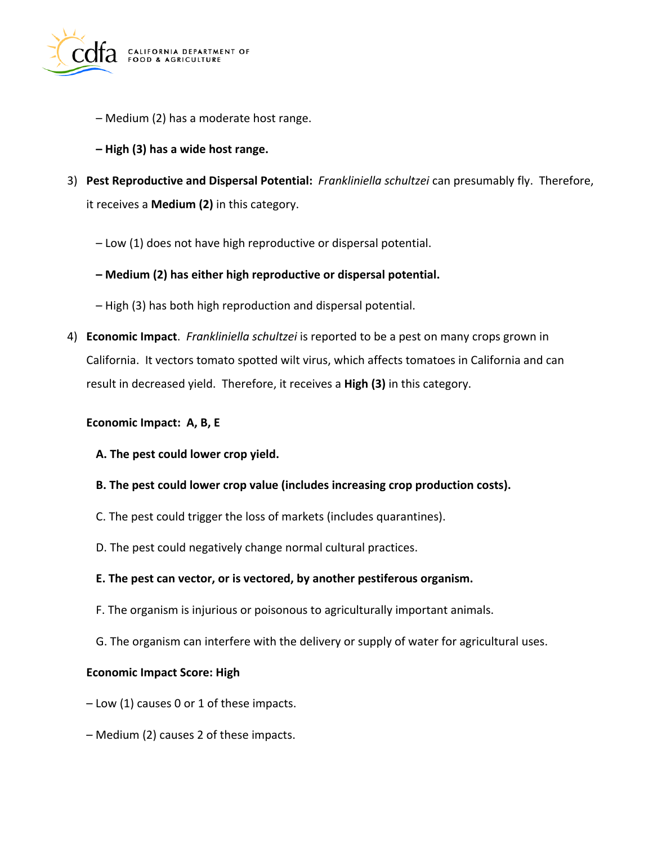

- Medium (2) has a moderate host range.
- **– High (3) has a wide host range.**
- 3) **Pest Reproductive and Dispersal Potential:** *Frankliniella schultzei* can presumably fly. Therefore, it receives a **Medium (2)** in this category.
	- Low (1) does not have high reproductive or dispersal potential.
	- **– Medium (2) has either high reproductive or dispersal potential.**
	- High (3) has both high reproduction and dispersal potential.
- 4) **Economic Impact**. *Frankliniella schultzei* is reported to be a pest on many crops grown in California. It vectors tomato spotted wilt virus, which affects tomatoes in California and can result in decreased yield. Therefore, it receives a **High (3)** in this category.

#### **Economic Impact: A, B, E**

- **A. The pest could lower crop yield.**
- **B. The pest could lower crop value (includes increasing crop production costs).**
- C. The pest could trigger the loss of markets (includes quarantines).
- D. The pest could negatively change normal cultural practices.
- **E. The pest can vector, or is vectored, by another pestiferous organism.**
- F. The organism is injurious or poisonous to agriculturally important animals.
- G. The organism can interfere with the delivery or supply of water for agricultural uses.

#### **Economic Impact Score: High**

- Low (1) causes 0 or 1 of these impacts.
- Medium (2) causes 2 of these impacts.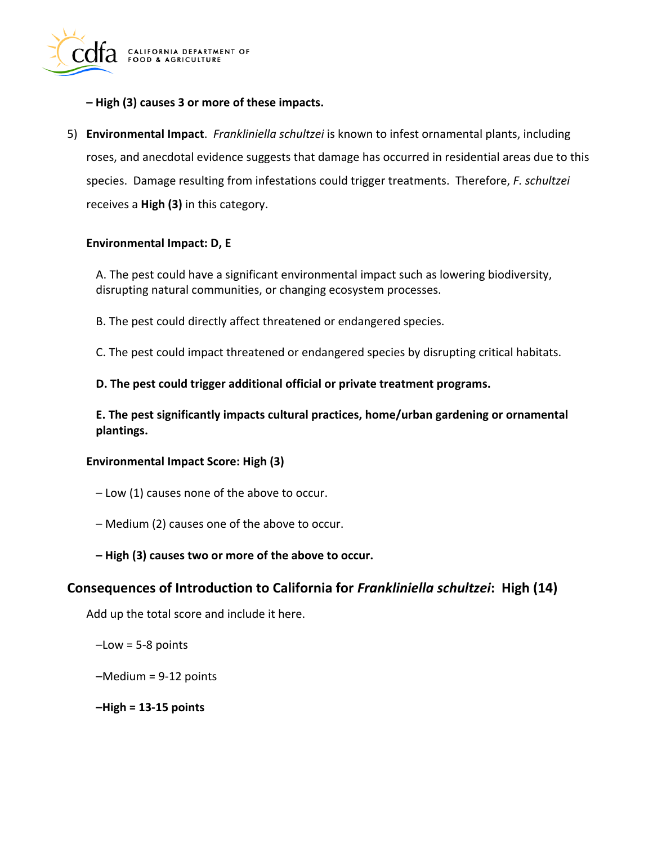

- **– High (3) causes 3 or more of these impacts.**
- 5) **Environmental Impact**. *Frankliniella schultzei* is known to infest ornamental plants, including roses, and anecdotal evidence suggests that damage has occurred in residential areas due to this species. Damage resulting from infestations could trigger treatments. Therefore, *F. schultzei*  receives a **High (3)** in this category.

#### **Environmental Impact: D, E**

A. The pest could have a significant environmental impact such as lowering biodiversity, disrupting natural communities, or changing ecosystem processes.

B. The pest could directly affect threatened or endangered species.

C. The pest could impact threatened or endangered species by disrupting critical habitats.

**D. The pest could trigger additional official or private treatment programs.** 

**E. The pest significantly impacts cultural practices, home/urban gardening or ornamental plantings.** 

#### **Environmental Impact Score: High (3)**

- Low (1) causes none of the above to occur.
- Medium (2) causes one of the above to occur.
- **– High (3) causes two or more of the above to occur.**

#### **Consequences of Introduction to California for** *Frankliniella schultzei***: High (14)**

Add up the total score and include it here.

–Low = 5-8 points

–Medium = 9-12 points

**–High = 13-15 points**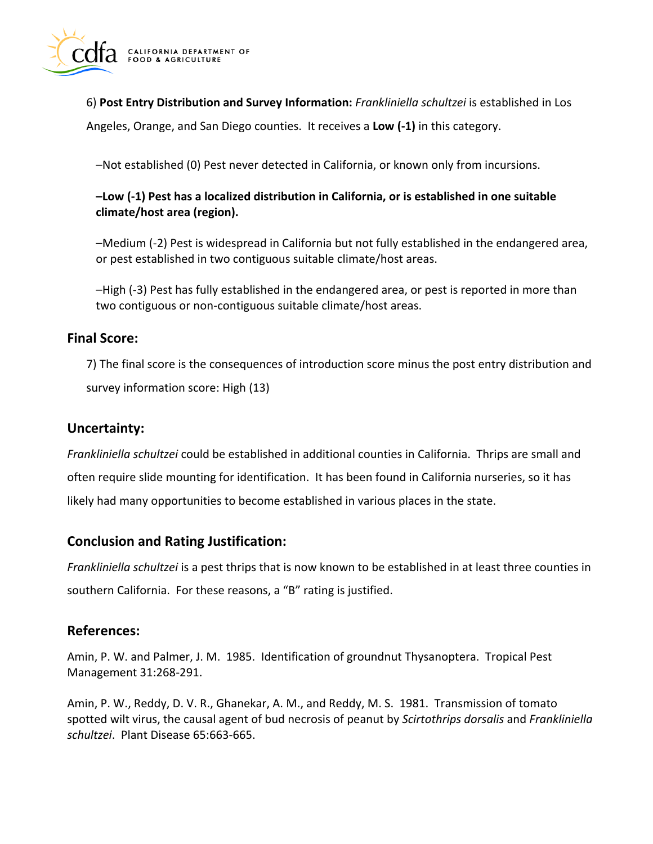

6) **Post Entry Distribution and Survey Information:** *Frankliniella schultzei* is established in Los

Angeles, Orange, and San Diego counties. It receives a **Low (-1)** in this category.

–Not established (0) Pest never detected in California, or known only from incursions.

### **–Low (-1) Pest has a localized distribution in California, or is established in one suitable climate/host area (region).**

–Medium (-2) Pest is widespread in California but not fully established in the endangered area, or pest established in two contiguous suitable climate/host areas.

–High (-3) Pest has fully established in the endangered area, or pest is reported in more than two contiguous or non-contiguous suitable climate/host areas.

### **Final Score:**

7) The final score is the consequences of introduction score minus the post entry distribution and survey information score: High (13)

### **Uncertainty:**

*Frankliniella schultzei* could be established in additional counties in California. Thrips are small and often require slide mounting for identification. It has been found in California nurseries, so it has likely had many opportunities to become established in various places in the state.

#### **Conclusion and Rating Justification:**

*Frankliniella schultzei* is a pest thrips that is now known to be established in at least three counties in southern California. For these reasons, a "B" rating is justified.

## **References:**

Amin, P. W. and Palmer, J. M. 1985. Identification of groundnut Thysanoptera. Tropical Pest Management 31:268-291.

Amin, P. W., Reddy, D. V. R., Ghanekar, A. M., and Reddy, M. S. 1981. Transmission of tomato spotted wilt virus, the causal agent of bud necrosis of peanut by *Scirtothrips dorsalis* and *Frankliniella schultzei*. Plant Disease 65:663-665.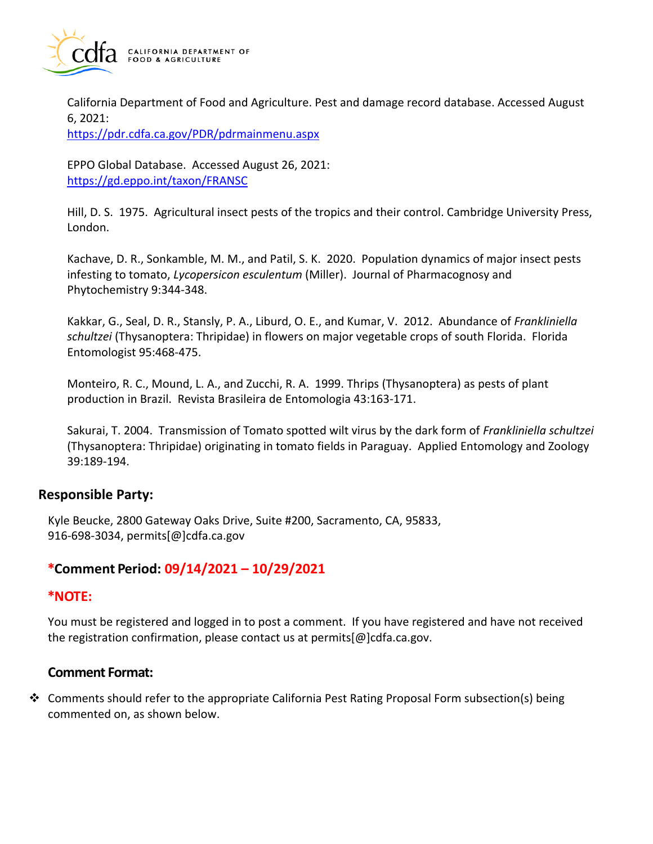

California Department of Food and Agriculture. Pest and damage record database. Accessed August 6, 2021:

<https://pdr.cdfa.ca.gov/PDR/pdrmainmenu.aspx>

EPPO Global Database. Accessed August 26, 2021: <https://gd.eppo.int/taxon/FRANSC>

Hill, D. S. 1975. Agricultural insect pests of the tropics and their control. Cambridge University Press, London.

Kachave, D. R., Sonkamble, M. M., and Patil, S. K. 2020. Population dynamics of major insect pests infesting to tomato, *Lycopersicon esculentum* (Miller). Journal of Pharmacognosy and Phytochemistry 9:344-348.

Kakkar, G., Seal, D. R., Stansly, P. A., Liburd, O. E., and Kumar, V. 2012. Abundance of *Frankliniella schultzei* (Thysanoptera: Thripidae) in flowers on major vegetable crops of south Florida. Florida Entomologist 95:468-475.

Monteiro, R. C., Mound, L. A., and Zucchi, R. A. 1999. Thrips (Thysanoptera) as pests of plant production in Brazil. Revista Brasileira de Entomologia 43:163-171.

Sakurai, T. 2004. Transmission of Tomato spotted wilt virus by the dark form of *Frankliniella schultzei*  (Thysanoptera: Thripidae) originating in tomato fields in Paraguay. Applied Entomology and Zoology 39:189-194.

#### **Responsible Party:**

Kyle Beucke, 2800 Gateway Oaks Drive, Suite #200, Sacramento, CA, 95833, 916-698-3034, [permits\[@\]cdfa.ca.gov](https://permits[@]cdfa.ca.gov) 

## **\*Comment Period: 09/14/2021 – 10/29/2021**

#### **\*NOTE:**

You must be registered and logged in to post a comment. If you have registered and have not received the registration confirmation, please contact us at [permits\[@\]cdfa.ca.gov](https://permits[@]cdfa.ca.gov).

# **Comment Format:**

❖ Comments should refer to the appropriate California Pest Rating Proposal Form subsection(s) being commented on, as shown below.